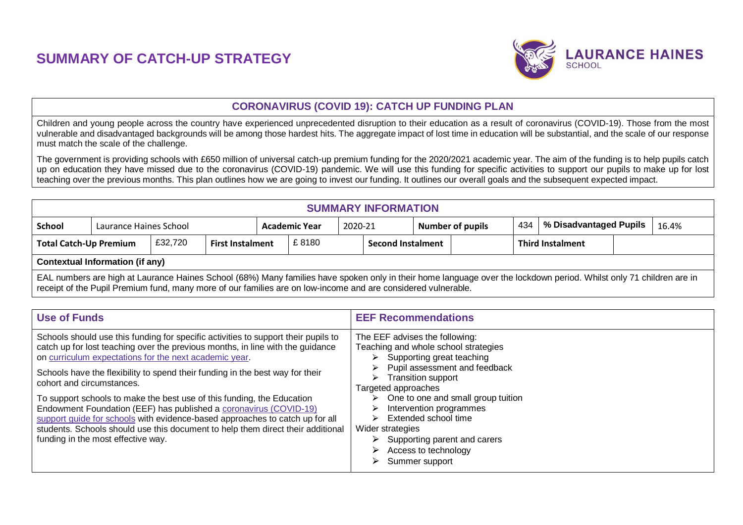## **SUMMARY OF CATCH-UP STRATEGY**



## **CORONAVIRUS (COVID 19): CATCH UP FUNDING PLAN**

Children and young people across the country have experienced unprecedented disruption to their education as a result of coronavirus (COVID-19). Those from the most vulnerable and disadvantaged backgrounds will be among those hardest hits. The aggregate impact of lost time in education will be substantial, and the scale of our response must match the scale of the challenge.

The government is providing schools with £650 million of universal catch-up premium funding for the 2020/2021 academic year. The aim of the funding is to help pupils catch up on education they have missed due to the coronavirus (COVID-19) pandemic. We will use this funding for specific activities to support our pupils to make up for lost teaching over the previous months. This plan outlines how we are going to invest our funding. It outlines our overall goals and the subsequent expected impact.

| <b>SUMMARY INFORMATION</b>                                                                                    |                                        |                         |  |                                 |                          |                         |  |     |                                 |  |                                                                                                                                                                     |  |  |
|---------------------------------------------------------------------------------------------------------------|----------------------------------------|-------------------------|--|---------------------------------|--------------------------|-------------------------|--|-----|---------------------------------|--|---------------------------------------------------------------------------------------------------------------------------------------------------------------------|--|--|
| School                                                                                                        | Laurance Haines School                 |                         |  | 2020-21<br><b>Academic Year</b> |                          | <b>Number of pupils</b> |  | 434 | % Disadvantaged Pupils<br>16.4% |  |                                                                                                                                                                     |  |  |
| £32,720<br><b>Total Catch-Up Premium</b>                                                                      |                                        | <b>First Instalment</b> |  | £8180                           | <b>Second Instalment</b> |                         |  |     | <b>Third Instalment</b>         |  |                                                                                                                                                                     |  |  |
|                                                                                                               | <b>Contextual Information (if any)</b> |                         |  |                                 |                          |                         |  |     |                                 |  |                                                                                                                                                                     |  |  |
| receipt of the Pupil Premium fund, many more of our families are on low-income and are considered vulnerable. |                                        |                         |  |                                 |                          |                         |  |     |                                 |  | EAL numbers are high at Laurance Haines School (68%) Many families have spoken only in their home language over the lockdown period. Whilst only 71 children are in |  |  |

| <b>Use of Funds</b>                                                                                                                                                                                                                                                                                                                                                                                                                                                                                                                                                                                                                                                                                  | <b>EEF Recommendations</b>                                                                                                                                                                                                                                                                                                                                                                                                          |
|------------------------------------------------------------------------------------------------------------------------------------------------------------------------------------------------------------------------------------------------------------------------------------------------------------------------------------------------------------------------------------------------------------------------------------------------------------------------------------------------------------------------------------------------------------------------------------------------------------------------------------------------------------------------------------------------------|-------------------------------------------------------------------------------------------------------------------------------------------------------------------------------------------------------------------------------------------------------------------------------------------------------------------------------------------------------------------------------------------------------------------------------------|
| Schools should use this funding for specific activities to support their pupils to<br>catch up for lost teaching over the previous months, in line with the guidance<br>on curriculum expectations for the next academic year.<br>Schools have the flexibility to spend their funding in the best way for their<br>cohort and circumstances.<br>To support schools to make the best use of this funding, the Education<br>Endowment Foundation (EEF) has published a coronavirus (COVID-19)<br>support guide for schools with evidence-based approaches to catch up for all<br>students. Schools should use this document to help them direct their additional<br>funding in the most effective way. | The EEF advises the following:<br>Teaching and whole school strategies<br>Supporting great teaching<br>⋗<br>Pupil assessment and feedback<br>⋗<br><b>Transition support</b><br>➤<br>Targeted approaches<br>One to one and small group tuition<br>⋗<br>Intervention programmes<br>⋗<br>Extended school time<br>Wider strategies<br>$\triangleright$ Supporting parent and carers<br>Access to technology<br>⋗<br>Summer support<br>⋗ |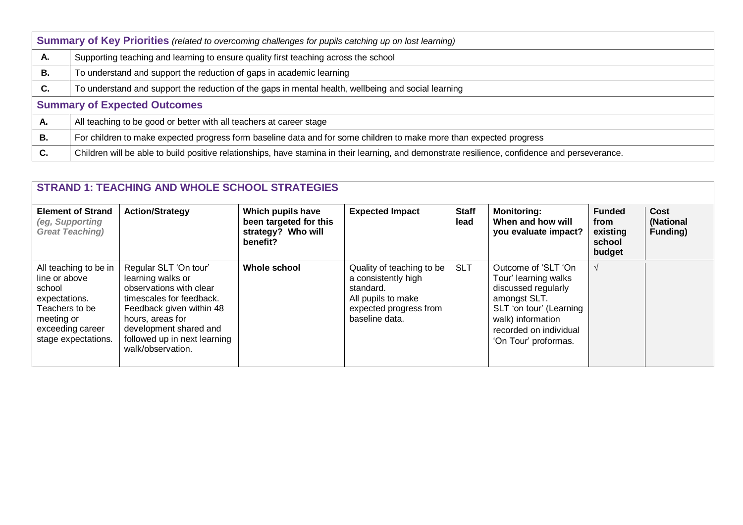|    | Summary of Key Priorities (related to overcoming challenges for pupils catching up on lost learning)                                            |  |  |  |  |  |  |
|----|-------------------------------------------------------------------------------------------------------------------------------------------------|--|--|--|--|--|--|
| Α. | Supporting teaching and learning to ensure quality first teaching across the school                                                             |  |  |  |  |  |  |
| В. | To understand and support the reduction of gaps in academic learning                                                                            |  |  |  |  |  |  |
| C. | To understand and support the reduction of the gaps in mental health, wellbeing and social learning                                             |  |  |  |  |  |  |
|    | <b>Summary of Expected Outcomes</b>                                                                                                             |  |  |  |  |  |  |
| А. | All teaching to be good or better with all teachers at career stage                                                                             |  |  |  |  |  |  |
| В. | For children to make expected progress form baseline data and for some children to make more than expected progress                             |  |  |  |  |  |  |
| С. | Children will be able to build positive relationships, have stamina in their learning, and demonstrate resilience, confidence and perseverance. |  |  |  |  |  |  |

| <b>STRAND 1: TEACHING AND WHOLE SCHOOL STRATEGIES</b>                                                                                        |                                                                                                                                                                                                                                  |                                                                               |                                                                                                                                 |                      |                                                                                                                                                                                      |                                                       |                                      |  |  |
|----------------------------------------------------------------------------------------------------------------------------------------------|----------------------------------------------------------------------------------------------------------------------------------------------------------------------------------------------------------------------------------|-------------------------------------------------------------------------------|---------------------------------------------------------------------------------------------------------------------------------|----------------------|--------------------------------------------------------------------------------------------------------------------------------------------------------------------------------------|-------------------------------------------------------|--------------------------------------|--|--|
| <b>Element of Strand</b><br>(eg, Supporting<br><b>Great Teaching)</b>                                                                        | <b>Action/Strategy</b>                                                                                                                                                                                                           | Which pupils have<br>been targeted for this<br>strategy? Who will<br>benefit? | <b>Expected Impact</b>                                                                                                          | <b>Staff</b><br>lead | <b>Monitoring:</b><br>When and how will<br>you evaluate impact?                                                                                                                      | <b>Funded</b><br>from<br>existing<br>school<br>budget | <b>Cost</b><br>(National<br>Funding) |  |  |
| All teaching to be in<br>line or above<br>school<br>expectations.<br>Teachers to be<br>meeting or<br>exceeding career<br>stage expectations. | Regular SLT 'On tour'<br>learning walks or<br>observations with clear<br>timescales for feedback.<br>Feedback given within 48<br>hours, areas for<br>development shared and<br>followed up in next learning<br>walk/observation. | <b>Whole school</b>                                                           | Quality of teaching to be<br>a consistently high<br>standard.<br>All pupils to make<br>expected progress from<br>baseline data. | <b>SLT</b>           | Outcome of 'SLT 'On<br>Tour' learning walks<br>discussed regularly<br>amongst SLT.<br>SLT 'on tour' (Learning<br>walk) information<br>recorded on individual<br>'On Tour' proformas. |                                                       |                                      |  |  |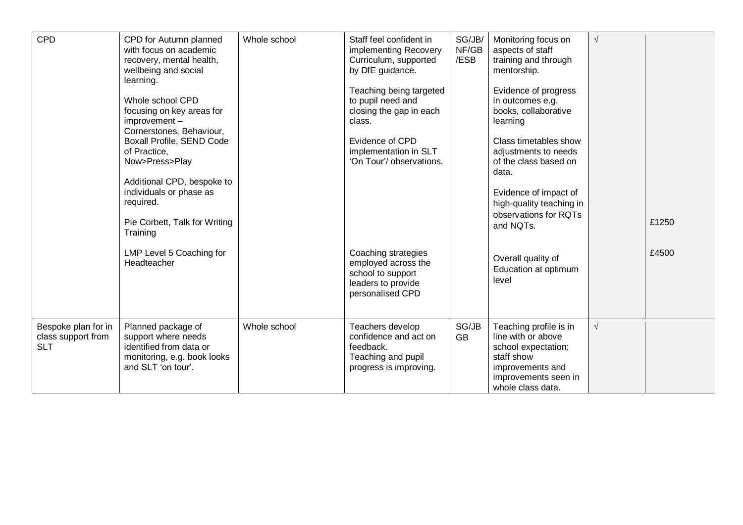| CPD                                                     | CPD for Autumn planned<br>with focus on academic<br>recovery, mental health,<br>wellbeing and social<br>learning.<br>Whole school CPD<br>focusing on key areas for<br>improvement-<br>Cornerstones, Behaviour,<br>Boxall Profile, SEND Code<br>of Practice,<br>Now>Press>Play<br>Additional CPD, bespoke to<br>individuals or phase as<br>required.<br>Pie Corbett, Talk for Writing<br>Training<br>LMP Level 5 Coaching for<br>Headteacher | Whole school | Staff feel confident in<br>implementing Recovery<br>Curriculum, supported<br>by DfE guidance.<br>Teaching being targeted<br>to pupil need and<br>closing the gap in each<br>class.<br>Evidence of CPD<br>implementation in SLT<br>'On Tour'/ observations.<br>Coaching strategies<br>employed across the<br>school to support<br>leaders to provide<br>personalised CPD | SG/JB/<br>NF/GB<br>/ESB | Monitoring focus on<br>aspects of staff<br>training and through<br>mentorship.<br>Evidence of progress<br>in outcomes e.g.<br>books, collaborative<br>learning<br>Class timetables show<br>adjustments to needs<br>of the class based on<br>data.<br>Evidence of impact of<br>high-quality teaching in<br>observations for RQTs<br>and NQTs.<br>Overall quality of<br>Education at optimum<br>level | $\sqrt{ }$ | £1250<br>£4500 |
|---------------------------------------------------------|---------------------------------------------------------------------------------------------------------------------------------------------------------------------------------------------------------------------------------------------------------------------------------------------------------------------------------------------------------------------------------------------------------------------------------------------|--------------|-------------------------------------------------------------------------------------------------------------------------------------------------------------------------------------------------------------------------------------------------------------------------------------------------------------------------------------------------------------------------|-------------------------|-----------------------------------------------------------------------------------------------------------------------------------------------------------------------------------------------------------------------------------------------------------------------------------------------------------------------------------------------------------------------------------------------------|------------|----------------|
| Bespoke plan for in<br>class support from<br><b>SLT</b> | Planned package of<br>support where needs<br>identified from data or<br>monitoring, e.g. book looks<br>and SLT 'on tour'.                                                                                                                                                                                                                                                                                                                   | Whole school | Teachers develop<br>confidence and act on<br>feedback.<br>Teaching and pupil<br>progress is improving.                                                                                                                                                                                                                                                                  | SG/JB<br><b>GB</b>      | Teaching profile is in<br>line with or above<br>school expectation;<br>staff show<br>improvements and<br>improvements seen in<br>whole class data.                                                                                                                                                                                                                                                  | $\sqrt{}$  |                |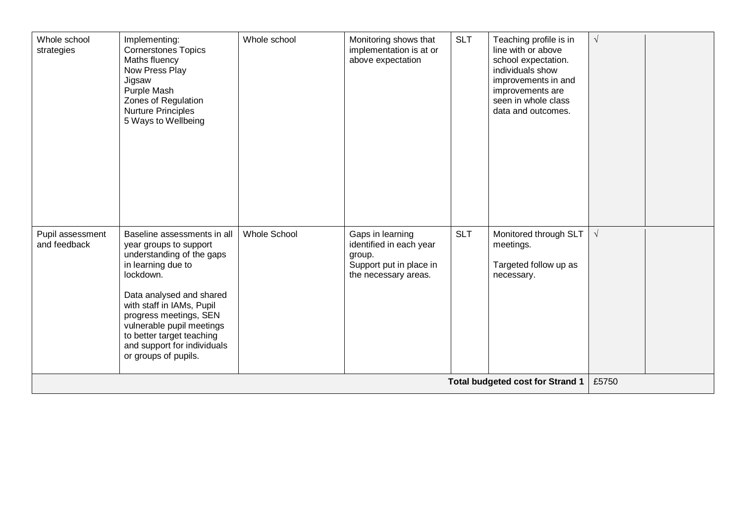| Whole school<br>strategies       | Implementing:<br><b>Cornerstones Topics</b><br>Maths fluency<br>Now Press Play<br>Jigsaw<br>Purple Mash<br>Zones of Regulation<br><b>Nurture Principles</b><br>5 Ways to Wellbeing                                                                                                                                        | Whole school        | Monitoring shows that<br>implementation is at or<br>above expectation                                    | <b>SLT</b> | Teaching profile is in<br>line with or above<br>school expectation.<br>individuals show<br>improvements in and<br>improvements are<br>seen in whole class<br>data and outcomes. | $\sqrt{ }$ |  |
|----------------------------------|---------------------------------------------------------------------------------------------------------------------------------------------------------------------------------------------------------------------------------------------------------------------------------------------------------------------------|---------------------|----------------------------------------------------------------------------------------------------------|------------|---------------------------------------------------------------------------------------------------------------------------------------------------------------------------------|------------|--|
| Pupil assessment<br>and feedback | Baseline assessments in all<br>year groups to support<br>understanding of the gaps<br>in learning due to<br>lockdown.<br>Data analysed and shared<br>with staff in IAMs, Pupil<br>progress meetings, SEN<br>vulnerable pupil meetings<br>to better target teaching<br>and support for individuals<br>or groups of pupils. | <b>Whole School</b> | Gaps in learning<br>identified in each year<br>group.<br>Support put in place in<br>the necessary areas. | <b>SLT</b> | Monitored through SLT<br>meetings.<br>Targeted follow up as<br>necessary.                                                                                                       | $\sqrt{}$  |  |
|                                  |                                                                                                                                                                                                                                                                                                                           |                     |                                                                                                          |            | <b>Total budgeted cost for Strand 1</b>                                                                                                                                         | £5750      |  |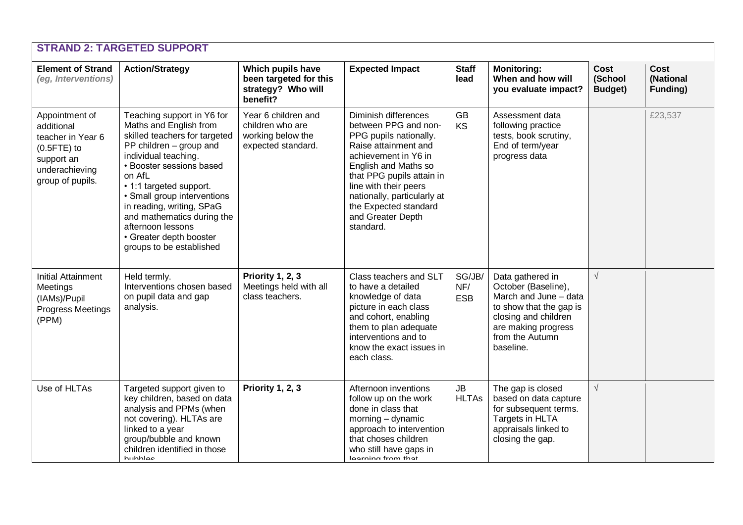|                                                                                                                            | <b>STRAND 2: TARGETED SUPPORT</b>                                                                                                                                                                                                                                                                                                                                               |                                                                                    |                                                                                                                                                                                                                                                                                                |                             |                                                                                                                                                                            |                            |                                      |
|----------------------------------------------------------------------------------------------------------------------------|---------------------------------------------------------------------------------------------------------------------------------------------------------------------------------------------------------------------------------------------------------------------------------------------------------------------------------------------------------------------------------|------------------------------------------------------------------------------------|------------------------------------------------------------------------------------------------------------------------------------------------------------------------------------------------------------------------------------------------------------------------------------------------|-----------------------------|----------------------------------------------------------------------------------------------------------------------------------------------------------------------------|----------------------------|--------------------------------------|
| <b>Element of Strand</b><br>(eg, Interventions)                                                                            | <b>Action/Strategy</b>                                                                                                                                                                                                                                                                                                                                                          | Which pupils have<br>been targeted for this<br>strategy? Who will<br>benefit?      | <b>Expected Impact</b>                                                                                                                                                                                                                                                                         | <b>Staff</b><br>lead        | <b>Monitoring:</b><br>When and how will<br>you evaluate impact?                                                                                                            | Cost<br>(School<br>Budget) | <b>Cost</b><br>(National<br>Funding) |
| Appointment of<br>additional<br>teacher in Year 6<br>$(0.5$ FTE $)$ to<br>support an<br>underachieving<br>group of pupils. | Teaching support in Y6 for<br>Maths and English from<br>skilled teachers for targeted<br>PP children - group and<br>individual teaching.<br>• Booster sessions based<br>on AfL<br>• 1:1 targeted support.<br>• Small group interventions<br>in reading, writing, SPaG<br>and mathematics during the<br>afternoon lessons<br>• Greater depth booster<br>groups to be established | Year 6 children and<br>children who are<br>working below the<br>expected standard. | Diminish differences<br>between PPG and non-<br>PPG pupils nationally.<br>Raise attainment and<br>achievement in Y6 in<br>English and Maths so<br>that PPG pupils attain in<br>line with their peers<br>nationally, particularly at<br>the Expected standard<br>and Greater Depth<br>standard. | <b>GB</b><br><b>KS</b>      | Assessment data<br>following practice<br>tests, book scrutiny,<br>End of term/year<br>progress data                                                                        |                            | £23,537                              |
| <b>Initial Attainment</b><br>Meetings<br>(IAMs)/Pupil<br><b>Progress Meetings</b><br>(PPM)                                 | Held termly.<br>Interventions chosen based<br>on pupil data and gap<br>analysis.                                                                                                                                                                                                                                                                                                | <b>Priority 1, 2, 3</b><br>Meetings held with all<br>class teachers.               | Class teachers and SLT<br>to have a detailed<br>knowledge of data<br>picture in each class<br>and cohort, enabling<br>them to plan adequate<br>interventions and to<br>know the exact issues in<br>each class.                                                                                 | SG/JB/<br>NF/<br><b>ESB</b> | Data gathered in<br>October (Baseline),<br>March and June - data<br>to show that the gap is<br>closing and children<br>are making progress<br>from the Autumn<br>baseline. | $\sqrt{ }$                 |                                      |
| Use of HLTAs                                                                                                               | Targeted support given to<br>key children, based on data<br>analysis and PPMs (when<br>not covering). HLTAs are<br>linked to a year<br>group/bubble and known<br>children identified in those<br>huhhloc                                                                                                                                                                        | Priority 1, 2, 3                                                                   | Afternoon inventions<br>follow up on the work<br>done in class that<br>morning - dynamic<br>approach to intervention<br>that choses children<br>who still have gaps in<br>loarning from that                                                                                                   | JB<br><b>HLTAs</b>          | The gap is closed<br>based on data capture<br>for subsequent terms.<br>Targets in HLTA<br>appraisals linked to<br>closing the gap.                                         | $\sqrt{ }$                 |                                      |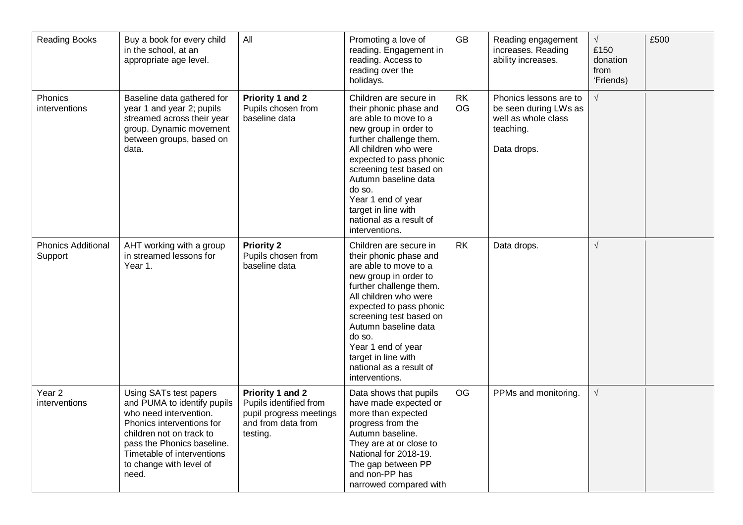| <b>Reading Books</b>                 | Buy a book for every child<br>in the school, at an<br>appropriate age level.                                                                                                                                                             | All                                                                                                     | Promoting a love of<br>reading. Engagement in<br>reading. Access to<br>reading over the<br>holidays.                                                                                                                                                                                                                                     | GB              | Reading engagement<br>increases. Reading<br>ability increases.                                     | $\sqrt{}$<br>£150<br>donation<br>from<br>'Friends) | £500 |
|--------------------------------------|------------------------------------------------------------------------------------------------------------------------------------------------------------------------------------------------------------------------------------------|---------------------------------------------------------------------------------------------------------|------------------------------------------------------------------------------------------------------------------------------------------------------------------------------------------------------------------------------------------------------------------------------------------------------------------------------------------|-----------------|----------------------------------------------------------------------------------------------------|----------------------------------------------------|------|
| Phonics<br>interventions             | Baseline data gathered for<br>year 1 and year 2; pupils<br>streamed across their year<br>group. Dynamic movement<br>between groups, based on<br>data.                                                                                    | Priority 1 and 2<br>Pupils chosen from<br>baseline data                                                 | Children are secure in<br>their phonic phase and<br>are able to move to a<br>new group in order to<br>further challenge them.<br>All children who were<br>expected to pass phonic<br>screening test based on<br>Autumn baseline data<br>do so.<br>Year 1 end of year<br>target in line with<br>national as a result of<br>interventions. | <b>RK</b><br>OG | Phonics lessons are to<br>be seen during LWs as<br>well as whole class<br>teaching.<br>Data drops. | $\sqrt{}$                                          |      |
| <b>Phonics Additional</b><br>Support | AHT working with a group<br>in streamed lessons for<br>Year 1.                                                                                                                                                                           | <b>Priority 2</b><br>Pupils chosen from<br>baseline data                                                | Children are secure in<br>their phonic phase and<br>are able to move to a<br>new group in order to<br>further challenge them.<br>All children who were<br>expected to pass phonic<br>screening test based on<br>Autumn baseline data<br>do so.<br>Year 1 end of year<br>target in line with<br>national as a result of<br>interventions. | <b>RK</b>       | Data drops.                                                                                        | $\sqrt{}$                                          |      |
| Year <sub>2</sub><br>interventions   | Using SATs test papers<br>and PUMA to identify pupils<br>who need intervention.<br>Phonics interventions for<br>children not on track to<br>pass the Phonics baseline.<br>Timetable of interventions<br>to change with level of<br>need. | Priority 1 and 2<br>Pupils identified from<br>pupil progress meetings<br>and from data from<br>testing. | Data shows that pupils<br>have made expected or<br>more than expected<br>progress from the<br>Autumn baseline.<br>They are at or close to<br>National for 2018-19.<br>The gap between PP<br>and non-PP has<br>narrowed compared with                                                                                                     | <b>OG</b>       | PPMs and monitoring.                                                                               | $\sqrt{}$                                          |      |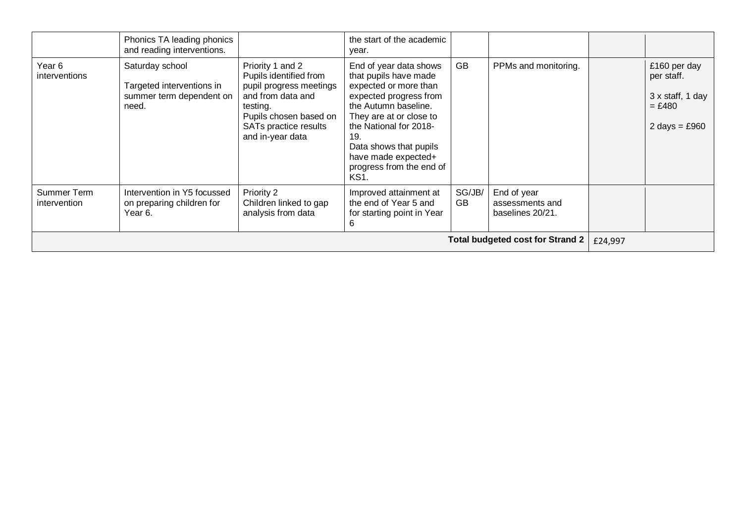|                                    | Phonics TA leading phonics<br>and reading interventions.                          |                                                                                                                                                                               | the start of the academic<br>year.                                                                                                                                                                                                                                                     |              |                                                    |         |                                                                               |
|------------------------------------|-----------------------------------------------------------------------------------|-------------------------------------------------------------------------------------------------------------------------------------------------------------------------------|----------------------------------------------------------------------------------------------------------------------------------------------------------------------------------------------------------------------------------------------------------------------------------------|--------------|----------------------------------------------------|---------|-------------------------------------------------------------------------------|
| Year <sub>6</sub><br>interventions | Saturday school<br>Targeted interventions in<br>summer term dependent on<br>need. | Priority 1 and 2<br>Pupils identified from<br>pupil progress meetings<br>and from data and<br>testing.<br>Pupils chosen based on<br>SATs practice results<br>and in-year data | End of year data shows<br>that pupils have made<br>expected or more than<br>expected progress from<br>the Autumn baseline.<br>They are at or close to<br>the National for 2018-<br>19.<br>Data shows that pupils<br>have made expected+<br>progress from the end of<br>KS <sub>1</sub> | GB           | PPMs and monitoring.                               |         | £160 per day<br>per staff.<br>3 x staff, 1 day<br>$= £480$<br>2 days = $£960$ |
| Summer Term<br>intervention        | Intervention in Y5 focussed<br>on preparing children for<br>Year 6.               | Priority 2<br>Children linked to gap<br>analysis from data                                                                                                                    | Improved attainment at<br>the end of Year 5 and<br>for starting point in Year<br>b                                                                                                                                                                                                     | SG/JB/<br>GB | End of year<br>assessments and<br>baselines 20/21. |         |                                                                               |
|                                    |                                                                                   |                                                                                                                                                                               |                                                                                                                                                                                                                                                                                        |              | <b>Total budgeted cost for Strand 2</b>            | £24,997 |                                                                               |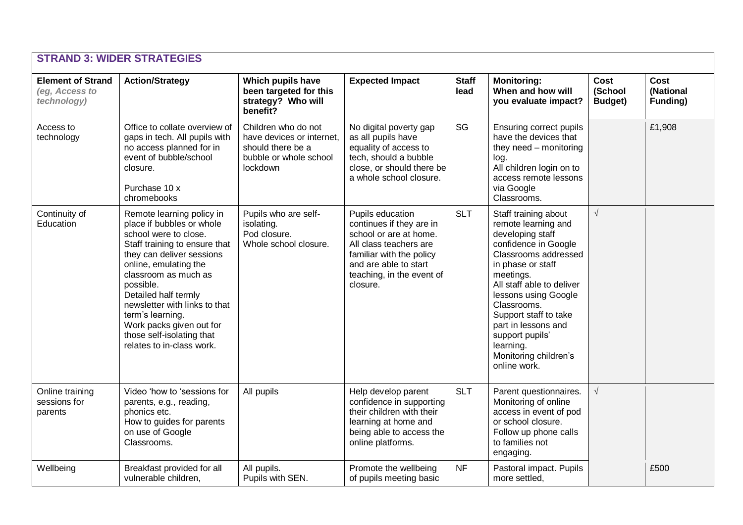|                                                           | <b>STRAND 3: WIDER STRATEGIES</b>                                                                                                                                                                                                                                                                                                                                              |                                                                                                             |                                                                                                                                                                                                |                      |                                                                                                                                                                                                                                                                                                                                                |                                    |                                      |
|-----------------------------------------------------------|--------------------------------------------------------------------------------------------------------------------------------------------------------------------------------------------------------------------------------------------------------------------------------------------------------------------------------------------------------------------------------|-------------------------------------------------------------------------------------------------------------|------------------------------------------------------------------------------------------------------------------------------------------------------------------------------------------------|----------------------|------------------------------------------------------------------------------------------------------------------------------------------------------------------------------------------------------------------------------------------------------------------------------------------------------------------------------------------------|------------------------------------|--------------------------------------|
| <b>Element of Strand</b><br>(eg, Access to<br>technology) | <b>Action/Strategy</b>                                                                                                                                                                                                                                                                                                                                                         | Which pupils have<br>been targeted for this<br>strategy? Who will<br>benefit?                               | <b>Expected Impact</b>                                                                                                                                                                         | <b>Staff</b><br>lead | <b>Monitoring:</b><br>When and how will<br>you evaluate impact?                                                                                                                                                                                                                                                                                | Cost<br>(School<br><b>Budget</b> ) | <b>Cost</b><br>(National<br>Funding) |
| Access to<br>technology                                   | Office to collate overview of<br>gaps in tech. All pupils with<br>no access planned for in<br>event of bubble/school<br>closure.<br>Purchase 10 x<br>chromebooks                                                                                                                                                                                                               | Children who do not<br>have devices or internet,<br>should there be a<br>bubble or whole school<br>lockdown | No digital poverty gap<br>as all pupils have<br>equality of access to<br>tech, should a bubble<br>close, or should there be<br>a whole school closure.                                         | SG                   | Ensuring correct pupils<br>have the devices that<br>they need - monitoring<br>log.<br>All children login on to<br>access remote lessons<br>via Google<br>Classrooms.                                                                                                                                                                           |                                    | £1,908                               |
| Continuity of<br>Education                                | Remote learning policy in<br>place if bubbles or whole<br>school were to close.<br>Staff training to ensure that<br>they can deliver sessions<br>online, emulating the<br>classroom as much as<br>possible.<br>Detailed half termly<br>newsletter with links to that<br>term's learning.<br>Work packs given out for<br>those self-isolating that<br>relates to in-class work. | Pupils who are self-<br>isolating.<br>Pod closure.<br>Whole school closure.                                 | Pupils education<br>continues if they are in<br>school or are at home.<br>All class teachers are<br>familiar with the policy<br>and are able to start<br>teaching, in the event of<br>closure. | <b>SLT</b>           | Staff training about<br>remote learning and<br>developing staff<br>confidence in Google<br>Classrooms addressed<br>in phase or staff<br>meetings.<br>All staff able to deliver<br>lessons using Google<br>Classrooms.<br>Support staff to take<br>part in lessons and<br>support pupils'<br>learning.<br>Monitoring children's<br>online work. | $\sqrt{ }$                         |                                      |
| Online training<br>sessions for<br>parents                | Video 'how to 'sessions for<br>parents, e.g., reading,<br>phonics etc.<br>How to guides for parents<br>on use of Google<br>Classrooms.                                                                                                                                                                                                                                         | All pupils                                                                                                  | Help develop parent<br>confidence in supporting<br>their children with their<br>learning at home and<br>being able to access the<br>online platforms.                                          | <b>SLT</b>           | Parent questionnaires.<br>Monitoring of online<br>access in event of pod<br>or school closure.<br>Follow up phone calls<br>to families not<br>engaging.                                                                                                                                                                                        | $\sqrt{ }$                         |                                      |
| Wellbeing                                                 | Breakfast provided for all<br>vulnerable children,                                                                                                                                                                                                                                                                                                                             | All pupils.<br>Pupils with SEN.                                                                             | Promote the wellbeing<br>of pupils meeting basic                                                                                                                                               | <b>NF</b>            | Pastoral impact. Pupils<br>more settled,                                                                                                                                                                                                                                                                                                       |                                    | £500                                 |